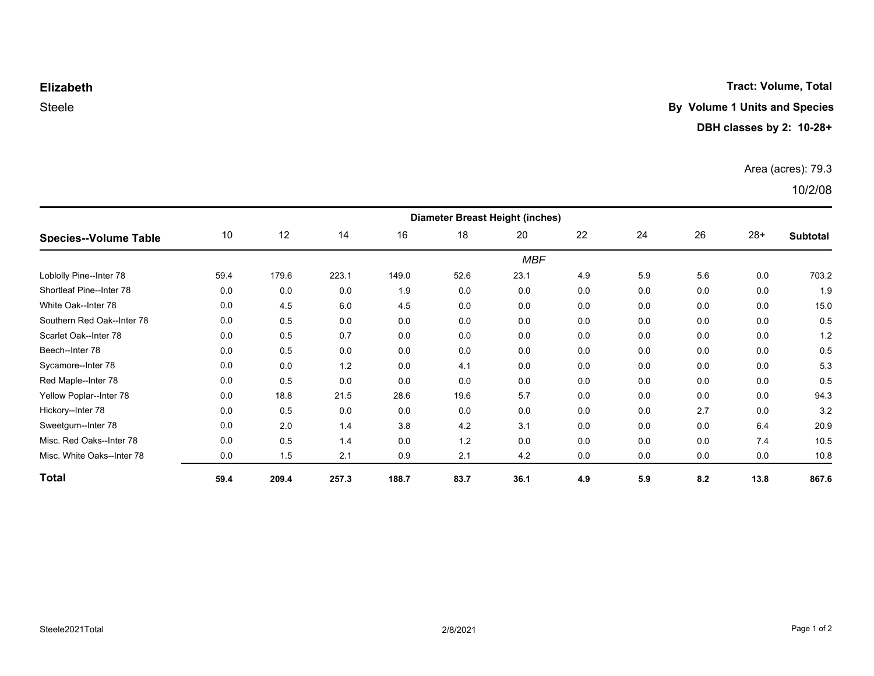**Tract: Volume, Total**

# **Elizabeth**

### Steele **By Volume 1 Units and Species**

#### **DBH classes by 2: 10-28+**

#### Area (acres): 79.3

### 10/2/08

| <b>Species--Volume Table</b> | <b>Diameter Breast Height (inches)</b> |       |       |       |      |      |     |     |     |       |                 |  |
|------------------------------|----------------------------------------|-------|-------|-------|------|------|-----|-----|-----|-------|-----------------|--|
|                              | 10                                     | 12    | 14    | 16    | 18   | 20   | 22  | 24  | 26  | $28+$ | <b>Subtotal</b> |  |
|                              | <b>MBF</b>                             |       |       |       |      |      |     |     |     |       |                 |  |
| Loblolly Pine--Inter 78      | 59.4                                   | 179.6 | 223.1 | 149.0 | 52.6 | 23.1 | 4.9 | 5.9 | 5.6 | 0.0   | 703.2           |  |
| Shortleaf Pine--Inter 78     | 0.0                                    | 0.0   | 0.0   | 1.9   | 0.0  | 0.0  | 0.0 | 0.0 | 0.0 | 0.0   | 1.9             |  |
| White Oak--Inter 78          | 0.0                                    | 4.5   | 6.0   | 4.5   | 0.0  | 0.0  | 0.0 | 0.0 | 0.0 | 0.0   | 15.0            |  |
| Southern Red Oak--Inter 78   | 0.0                                    | 0.5   | 0.0   | 0.0   | 0.0  | 0.0  | 0.0 | 0.0 | 0.0 | 0.0   | 0.5             |  |
| Scarlet Oak--Inter 78        | 0.0                                    | 0.5   | 0.7   | 0.0   | 0.0  | 0.0  | 0.0 | 0.0 | 0.0 | 0.0   | 1.2             |  |
| Beech--Inter 78              | 0.0                                    | 0.5   | 0.0   | 0.0   | 0.0  | 0.0  | 0.0 | 0.0 | 0.0 | 0.0   | 0.5             |  |
| Sycamore--Inter 78           | 0.0                                    | 0.0   | 1.2   | 0.0   | 4.1  | 0.0  | 0.0 | 0.0 | 0.0 | 0.0   | 5.3             |  |
| Red Maple--Inter 78          | 0.0                                    | 0.5   | 0.0   | 0.0   | 0.0  | 0.0  | 0.0 | 0.0 | 0.0 | 0.0   | 0.5             |  |
| Yellow Poplar--Inter 78      | 0.0                                    | 18.8  | 21.5  | 28.6  | 19.6 | 5.7  | 0.0 | 0.0 | 0.0 | 0.0   | 94.3            |  |
| Hickory--Inter 78            | 0.0                                    | 0.5   | 0.0   | 0.0   | 0.0  | 0.0  | 0.0 | 0.0 | 2.7 | 0.0   | 3.2             |  |
| Sweetgum--Inter 78           | 0.0                                    | 2.0   | 1.4   | 3.8   | 4.2  | 3.1  | 0.0 | 0.0 | 0.0 | 6.4   | 20.9            |  |
| Misc. Red Oaks--Inter 78     | 0.0                                    | 0.5   | 1.4   | 0.0   | 1.2  | 0.0  | 0.0 | 0.0 | 0.0 | 7.4   | 10.5            |  |
| Misc. White Oaks--Inter 78   | 0.0                                    | 1.5   | 2.1   | 0.9   | 2.1  | 4.2  | 0.0 | 0.0 | 0.0 | 0.0   | 10.8            |  |
| Total                        | 59.4                                   | 209.4 | 257.3 | 188.7 | 83.7 | 36.1 | 4.9 | 5.9 | 8.2 | 13.8  | 867.6           |  |